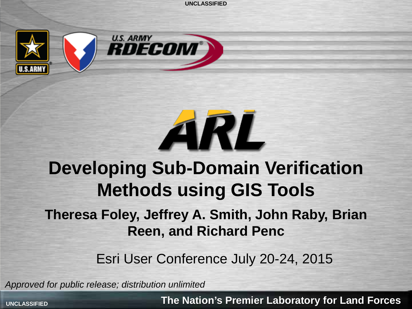

# **ARL**

# **Developing Sub-Domain Verification Methods using GIS Tools**

#### **Theresa Foley, Jeffrey A. Smith, John Raby, Brian Reen, and Richard Penc**

Esri User Conference July 20-24, 2015

*Approved for public release; distribution unlimited*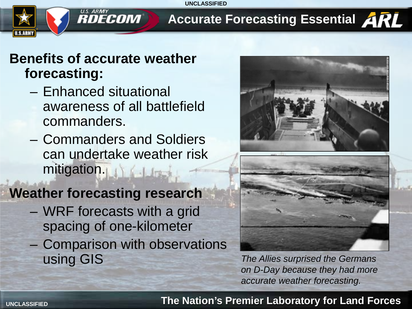# **Accurate Forecasting Essential ARL**

#### **Benefits of accurate weather forecasting:**

*RDECOM* 

- Enhanced situational awareness of all battlefield commanders.
- Commanders and Soldiers can undertake weather risk mitigation.

#### **Weather forecasting research**

- WRF forecasts with a grid spacing of one-kilometer
- Comparison with observations using GIS *The Allies surprised the Germans*





*on D-Day because they had more accurate weather forecasting.*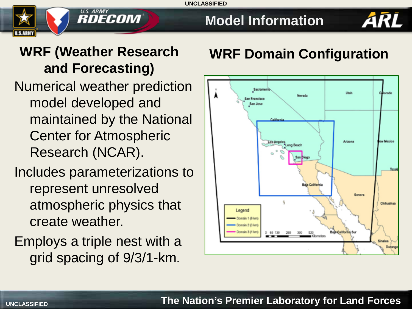

#### **Model Information**



#### **WRF (Weather Research and Forecasting)**

Numerical weather prediction model developed and maintained by the National Center for Atmospheric Research (NCAR).

Includes parameterizations to represent unresolved atmospheric physics that create weather.

Employs a triple nest with a grid spacing of 9/3/1-km.

#### **WRF Domain Configuration**

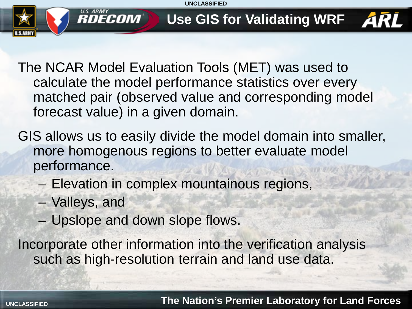

# **Use GIS for Validating WRF**

The NCAR Model Evaluation Tools (MET) was used to calculate the model performance statistics over every matched pair (observed value and corresponding model forecast value) in a given domain.

GIS allows us to easily divide the model domain into smaller, more homogenous regions to better evaluate model performance.

- Elevation in complex mountainous regions,
- Valleys, and

**KDECOM** 

– Upslope and down slope flows.

Incorporate other information into the verification analysis such as high-resolution terrain and land use data.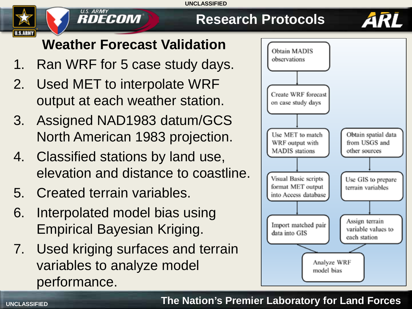# **Research Protocols**



## **Weather Forecast Validation**

1. Ran WRF for 5 case study days.

**U.S. ARMY** 

**RDECOM** 

- 2. Used MET to interpolate WRF output at each weather station.
- 3. Assigned NAD1983 datum/GCS North American 1983 projection.
- 4. Classified stations by land use, elevation and distance to coastline.
- 5. Created terrain variables.
- 6. Interpolated model bias using Empirical Bayesian Kriging.
- 7. Used kriging surfaces and terrain variables to analyze model performance.



#### **UNCLASSIFIED The Nation's Premier Laboratory for Land Forces**

**U.S.ARMY**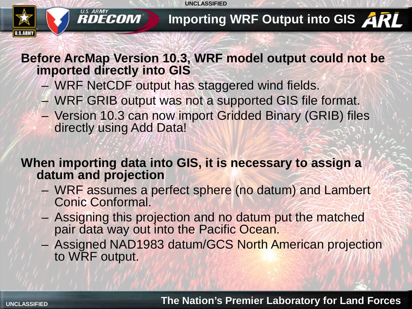



#### **Before ArcMap Version 10.3, WRF model output could not be imported directly into GIS**

– WRF NetCDF output has staggered wind fields.

**KDECOM** 

- WRF GRIB output was not a supported GIS file format.
- Version 10.3 can now import Gridded Binary (GRIB) files directly using Add Data!

#### **When importing data into GIS, it is necessary to assign a datum and projection**

- WRF assumes a perfect sphere (no datum) and Lambert Conic Conformal.
- Assigning this projection and no datum put the matched pair data way out into the Pacific Ocean.
- Assigned NAD1983 datum/GCS North American projection to WRF output.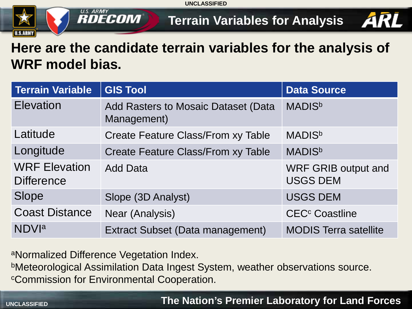

**Terrain Variables for Analysis**



#### **Here are the candidate terrain variables for the analysis of WRF model bias.**

| <b>Terrain Variable</b>                   | <b>GIS Tool</b>                                           | <b>Data Source</b>                            |
|-------------------------------------------|-----------------------------------------------------------|-----------------------------------------------|
| <b>Elevation</b>                          | <b>Add Rasters to Mosaic Dataset (Data</b><br>Management) | <b>MADIS</b> <sup>b</sup>                     |
| Latitude                                  | Create Feature Class/From xy Table                        | <b>MADIS</b> <sup>b</sup>                     |
| Longitude                                 | <b>Create Feature Class/From xy Table</b>                 | <b>MADIS</b> <sup>b</sup>                     |
| <b>WRF Elevation</b><br><b>Difference</b> | <b>Add Data</b>                                           | <b>WRF GRIB output and</b><br><b>USGS DEM</b> |
| Slope                                     | Slope (3D Analyst)                                        | <b>USGS DEM</b>                               |
| <b>Coast Distance</b>                     | Near (Analysis)                                           | <b>CEC<sup>c</sup></b> Coastline              |
| <b>NDV</b> <sup>a</sup>                   | <b>Extract Subset (Data management)</b>                   | <b>MODIS Terra satellite</b>                  |

aNormalized Difference Vegetation Index.

**U.S. ARMY** 

**RDECOM** 

bMeteorological Assimilation Data Ingest System, weather observations source.

cCommission for Environmental Cooperation.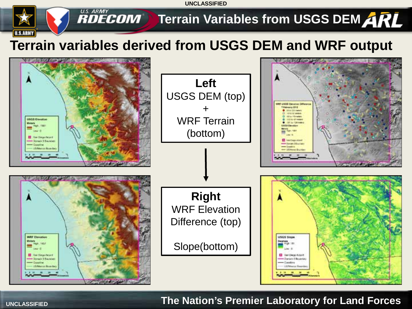# **TES ARMY COON THE TERRATION VARIATION CONTROL**

#### **Terrain variables derived from USGS DEM and WRF output**

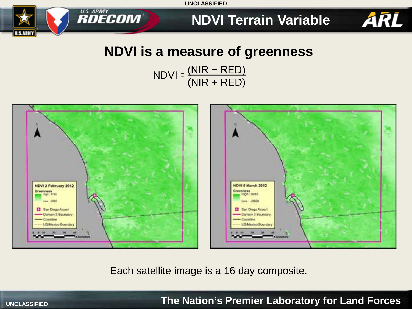

**NDVI Terrain Variable**

ARL



<u>(NIR − RED)</u>  $NDVI = \frac{(NIR + RED)}{(NIR + RED)}$ 



Each satellite image is a 16 day composite.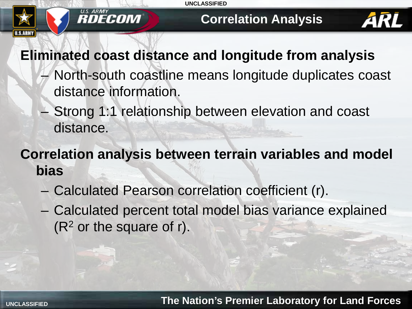

*EDECOM* 

**Correlation Analysis**



#### **Eliminated coast distance and longitude from analysis**

- North-south coastline means longitude duplicates coast distance information.
- Strong 1:1 relationship between elevation and coast distance.

## **Correlation analysis between terrain variables and model bias**

- Calculated Pearson correlation coefficient (r).
- Calculated percent total model bias variance explained  $(R<sup>2</sup>$  or the square of r).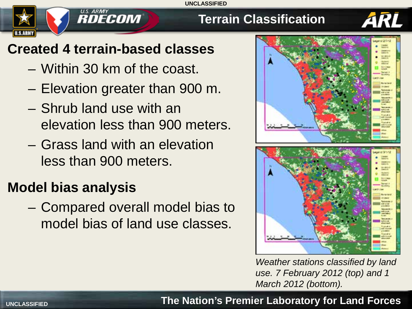

#### **Created 4 terrain-based classes**

**RDECOM** 

- Within 30 km of the coast.
- Elevation greater than 900 m.
- Shrub land use with an elevation less than 900 meters.
- Grass land with an elevation less than 900 meters.

#### **Model bias analysis**

– Compared overall model bias to model bias of land use classes.



*Weather stations classified by land use. 7 February 2012 (top) and 1 March 2012 (bottom).*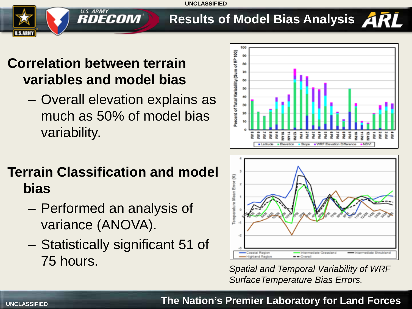# **Results of Model Bias Analysis**

#### **Correlation between terrain variables and model bias**

**U.S. ARMY** 

**RDECOM** 

– Overall elevation explains as much as 50% of model bias variability.



## **Terrain Classification and model bias**

- Performed an analysis of variance (ANOVA).
- Statistically significant 51 of 75 hours. *Spatial and Temporal Variability of WRF*



*SurfaceTemperature Bias Errors.*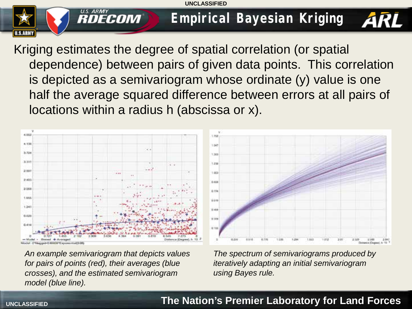**Empirical Bayesian Kriging**

Kriging estimates the degree of spatial correlation (or spatial dependence) between pairs of given data points. This correlation is depicted as a semivariogram whose ordinate (y) value is one half the average squared difference between errors at all pairs of locations within a radius h (abscissa or x).



*<i><b>RDECOM* 

*An example semivariogram that depicts values for pairs of points (red), their averages (blue crosses), and the estimated semivariogram model (blue line).*

*The spectrum of semivariograms produced by iteratively adapting an initial semivariogram using Bayes rule.*



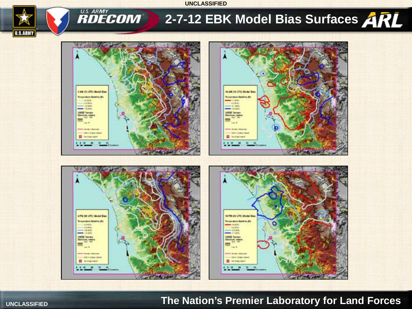



**UNCLASSIFIED The Nation's Premier Laboratory for Land Forces**

**U.S.ARMY**